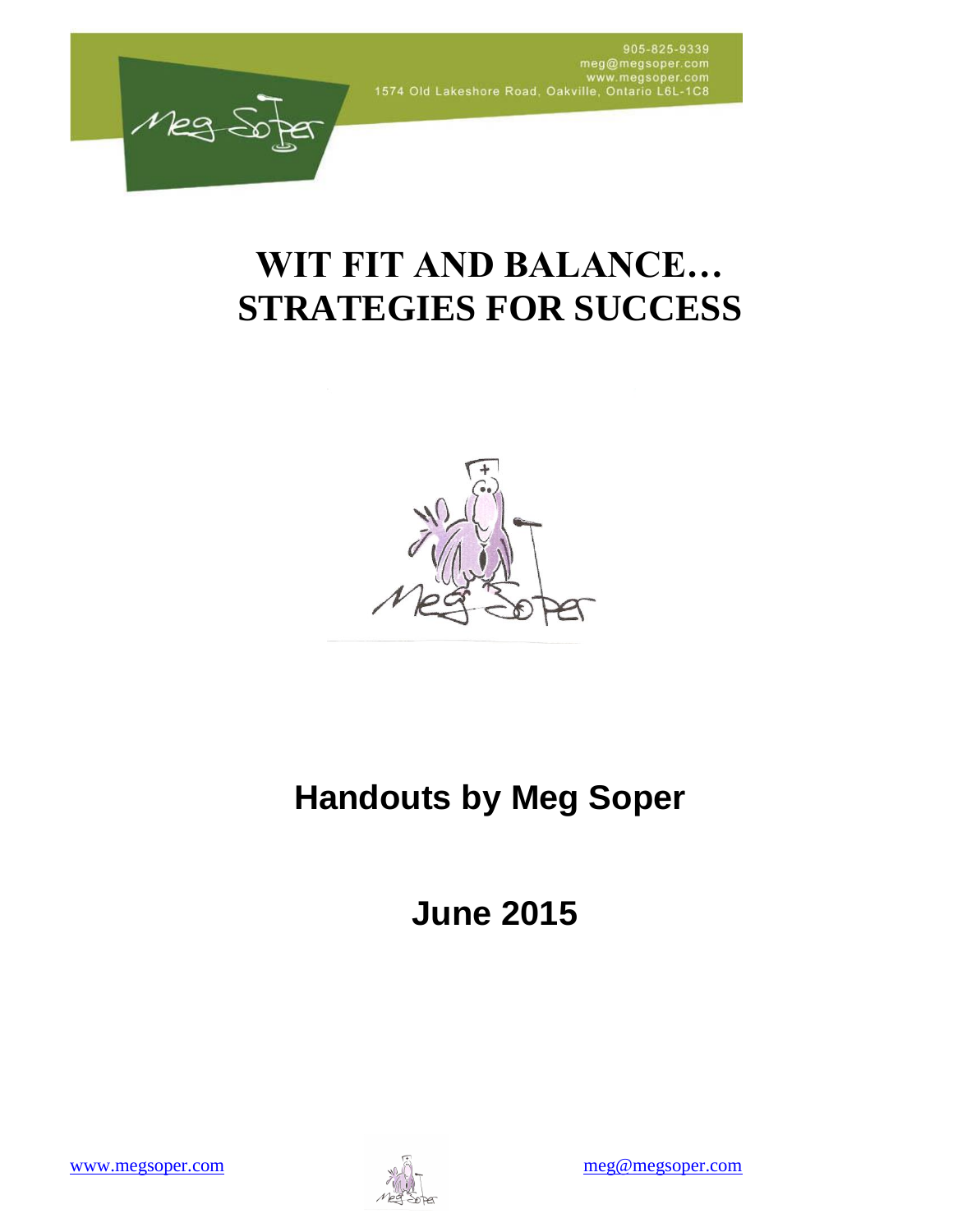

# **WIT FIT AND BALANCE… STRATEGIES FOR SUCCESS**



# **Handouts by Meg Soper**

**June 2015**

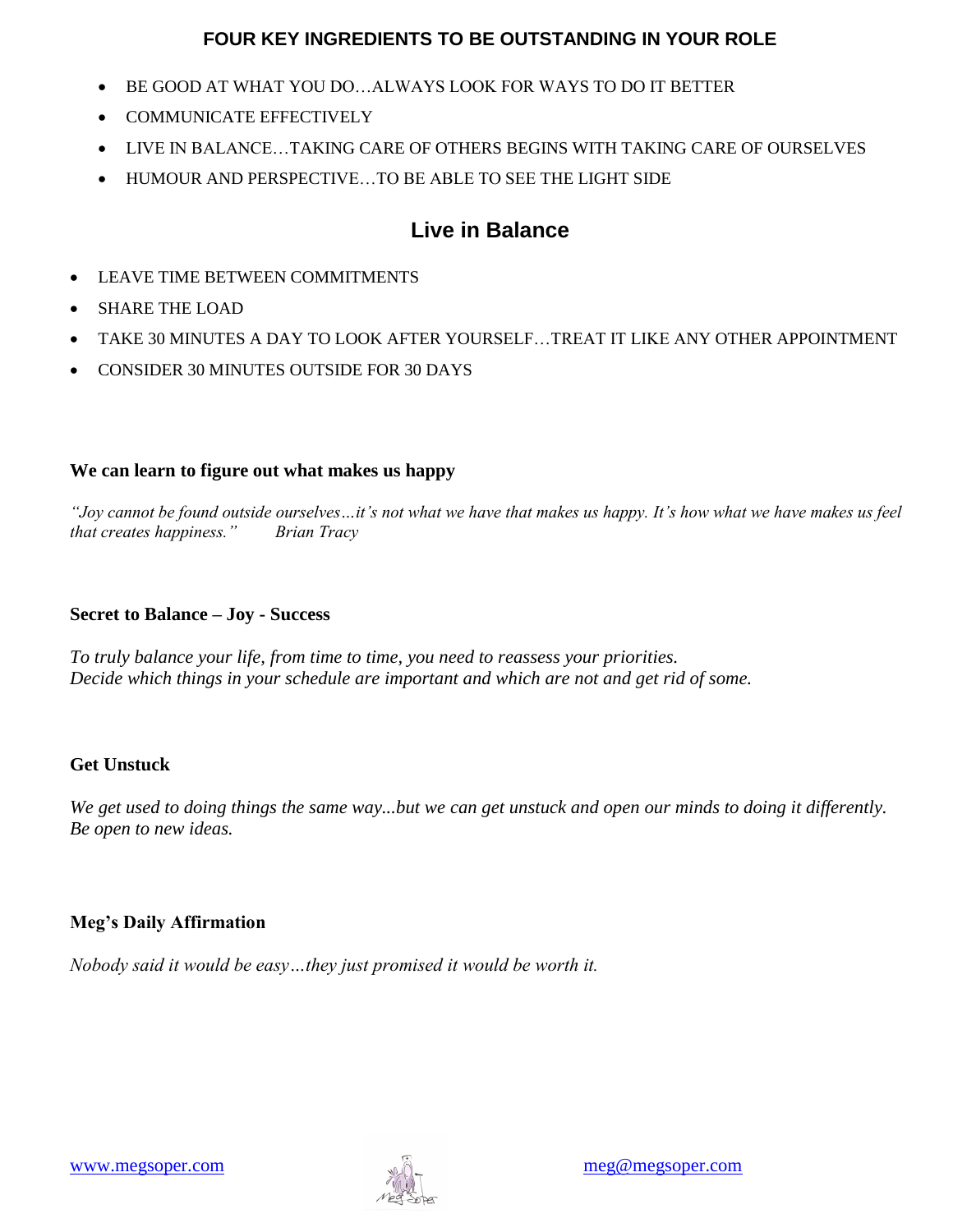## **FOUR KEY INGREDIENTS TO BE OUTSTANDING IN YOUR ROLE**

- BE GOOD AT WHAT YOU DO…ALWAYS LOOK FOR WAYS TO DO IT BETTER
- COMMUNICATE EFFECTIVELY
- LIVE IN BALANCE…TAKING CARE OF OTHERS BEGINS WITH TAKING CARE OF OURSELVES
- HUMOUR AND PERSPECTIVE…TO BE ABLE TO SEE THE LIGHT SIDE

## **Live in Balance**

- LEAVE TIME BETWEEN COMMITMENTS
- SHARE THE LOAD
- TAKE 30 MINUTES A DAY TO LOOK AFTER YOURSELF…TREAT IT LIKE ANY OTHER APPOINTMENT
- CONSIDER 30 MINUTES OUTSIDE FOR 30 DAYS

## **We can learn to figure out what makes us happy**

*"Joy cannot be found outside ourselves…it's not what we have that makes us happy. It's how what we have makes us feel that creates happiness." Brian Tracy*

## **Secret to Balance – Joy - Success**

*To truly balance your life, from time to time, you need to reassess your priorities. Decide which things in your schedule are important and which are not and get rid of some.*

## **Get Unstuck**

*We get used to doing things the same way...but we can get unstuck and open our minds to doing it differently. Be open to new ideas.* 

## **Meg's Daily Affirmation**

*Nobody said it would be easy…they just promised it would be worth it.* 

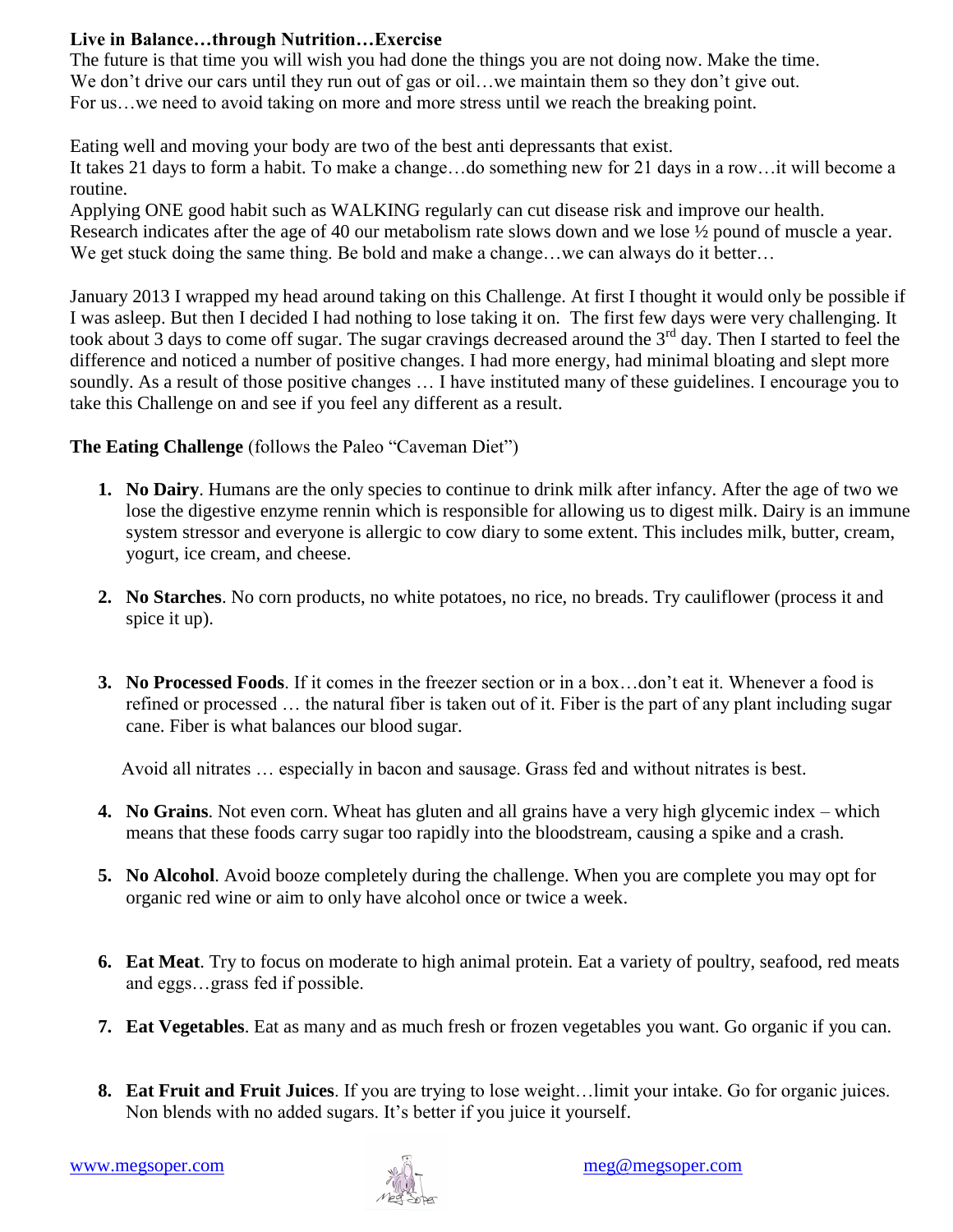## **Live in Balance…through Nutrition…Exercise**

The future is that time you will wish you had done the things you are not doing now. Make the time. We don't drive our cars until they run out of gas or oil...we maintain them so they don't give out. For us... we need to avoid taking on more and more stress until we reach the breaking point.

Eating well and moving your body are two of the best anti depressants that exist.

It takes 21 days to form a habit. To make a change…do something new for 21 days in a row…it will become a routine.

 Applying ONE good habit such as WALKING regularly can cut disease risk and improve our health. Research indicates after the age of 40 our metabolism rate slows down and we lose ½ pound of muscle a year. We get stuck doing the same thing. Be bold and make a change...we can always do it better...

January 2013 I wrapped my head around taking on this Challenge. At first I thought it would only be possible if I was asleep. But then I decided I had nothing to lose taking it on. The first few days were very challenging. It took about 3 days to come off sugar. The sugar cravings decreased around the  $3<sup>rd</sup>$  day. Then I started to feel the difference and noticed a number of positive changes. I had more energy, had minimal bloating and slept more soundly. As a result of those positive changes … I have instituted many of these guidelines. I encourage you to take this Challenge on and see if you feel any different as a result.

**The Eating Challenge** (follows the Paleo "Caveman Diet")

- **1. No Dairy**. Humans are the only species to continue to drink milk after infancy. After the age of two we lose the digestive enzyme rennin which is responsible for allowing us to digest milk. Dairy is an immune system stressor and everyone is allergic to cow diary to some extent. This includes milk, butter, cream, yogurt, ice cream, and cheese.
- **2. No Starches**. No corn products, no white potatoes, no rice, no breads. Try cauliflower (process it and spice it up).
- **3. No Processed Foods**. If it comes in the freezer section or in a box…don't eat it. Whenever a food is refined or processed … the natural fiber is taken out of it. Fiber is the part of any plant including sugar cane. Fiber is what balances our blood sugar.

Avoid all nitrates … especially in bacon and sausage. Grass fed and without nitrates is best.

- **4. No Grains**. Not even corn. Wheat has gluten and all grains have a very high glycemic index which means that these foods carry sugar too rapidly into the bloodstream, causing a spike and a crash.
- **5.** No Alcohol. Avoid booze completely during the challenge. When you are complete you may opt for organic red wine or aim to only have alcohol once or twice a week.
- **6. Eat Meat**. Try to focus on moderate to high animal protein. Eat a variety of poultry, seafood, red meats and eggs…grass fed if possible.
- **7. Eat Vegetables**. Eat as many and as much fresh or frozen vegetables you want. Go organic if you can.
- **8. Eat Fruit and Fruit Juices**. If you are trying to lose weight…limit your intake. Go for organic juices. Non blends with no added sugars. It's better if you juice it yourself.

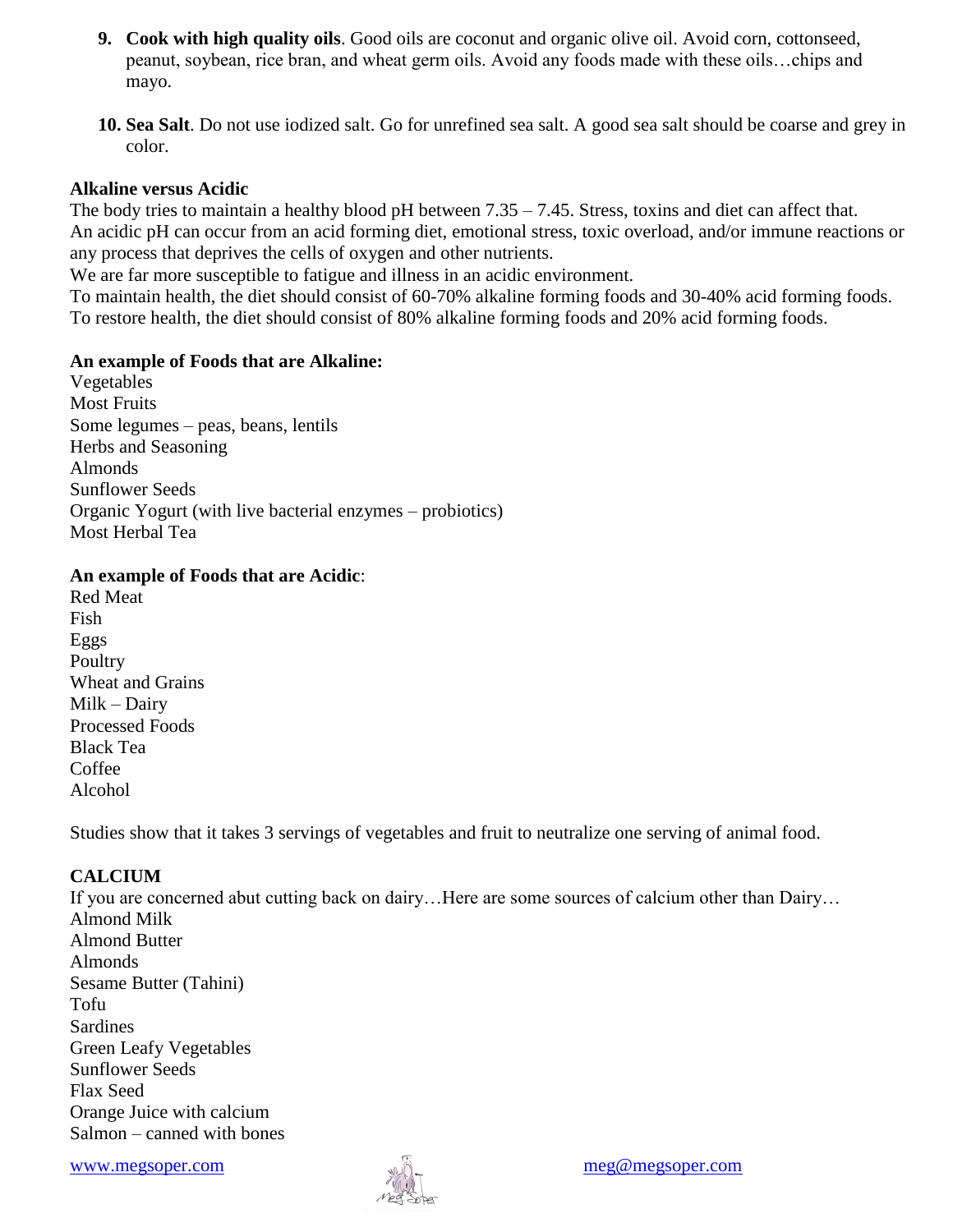- **9. Cook with high quality oils**. Good oils are coconut and organic olive oil. Avoid corn, cottonseed, peanut, soybean, rice bran, and wheat germ oils. Avoid any foods made with these oils…chips and mayo.
- **10. Sea Salt**. Do not use iodized salt. Go for unrefined sea salt. A good sea salt should be coarse and grey in color.

#### **Alkaline versus Acidic**

The body tries to maintain a healthy blood pH between 7.35 – 7.45. Stress, toxins and diet can affect that. An acidic pH can occur from an acid forming diet, emotional stress, toxic overload, and/or immune reactions or any process that deprives the cells of oxygen and other nutrients.

We are far more susceptible to fatigue and illness in an acidic environment.

To maintain health, the diet should consist of 60-70% alkaline forming foods and 30-40% acid forming foods. To restore health, the diet should consist of 80% alkaline forming foods and 20% acid forming foods.

#### **An example of Foods that are Alkaline:**

Vegetables Most Fruits Some legumes – peas, beans, lentils Herbs and Seasoning Almonds Sunflower Seeds Organic Yogurt (with live bacterial enzymes – probiotics) Most Herbal Tea

#### **An example of Foods that are Acidic**:

Red Meat Fish Eggs Poultry Wheat and Grains Milk – Dairy Processed Foods Black Tea Coffee Alcohol

Studies show that it takes 3 servings of vegetables and fruit to neutralize one serving of animal food.

## **CALCIUM**

If you are concerned abut cutting back on dairy...Here are some sources of calcium other than Dairy... Almond Milk Almond Butter Almonds Sesame Butter (Tahini) Tofu Sardines Green Leafy Vegetables Sunflower Seeds Flax Seed Orange Juice with calcium Salmon – canned with bones

[www.megsoper.com](http://www.megsoper.com/) and the same of the same of the same of the same of the same of the same of the same of the same of the same of the same of the same of the same of the same of the same of the same of the same of the same